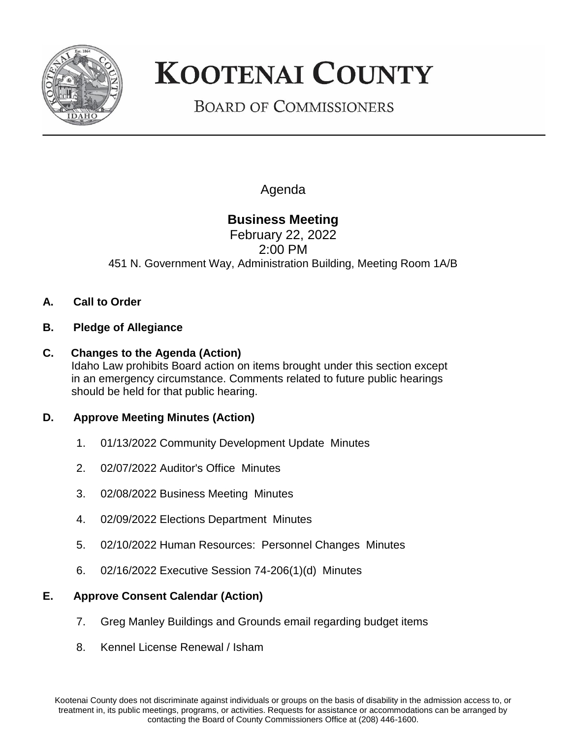

# **KOOTENAI COUNTY**

## **BOARD OF COMMISSIONERS**

Agenda

### **Business Meeting**

February 22, 2022 2:00 PM 451 N. Government Way, Administration Building, Meeting Room 1A/B

- **A. Call to Order**
- **B. Pledge of Allegiance**
- **C. Changes to the Agenda (Action)** Idaho Law prohibits Board action on items brought under this section except in an emergency circumstance. Comments related to future public hearings should be held for that public hearing.

#### **D. Approve Meeting Minutes (Action)**

- 1. 01/13/2022 Community Development Update Minutes
- 2. 02/07/2022 Auditor's Office Minutes
- 3. 02/08/2022 Business Meeting Minutes
- 4. 02/09/2022 Elections Department Minutes
- 5. 02/10/2022 Human Resources: Personnel Changes Minutes
- 6. 02/16/2022 Executive Session 74-206(1)(d) Minutes

#### **E. Approve Consent Calendar (Action)**

- 7. Greg Manley Buildings and Grounds email regarding budget items
- 8. Kennel License Renewal / Isham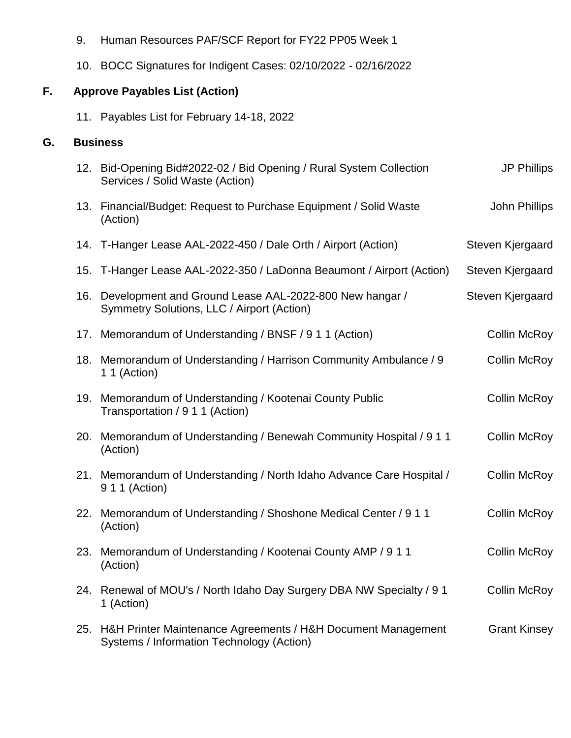- 9. Human Resources PAF/SCF Report for FY22 PP05 Week 1
- 10. BOCC Signatures for Indigent Cases: 02/10/2022 02/16/2022

#### **F. Approve Payables List (Action)**

11. Payables List for February 14-18, 2022

#### **G. Business**

|     | 12. Bid-Opening Bid#2022-02 / Bid Opening / Rural System Collection<br>Services / Solid Waste (Action)    | <b>JP Phillips</b>  |
|-----|-----------------------------------------------------------------------------------------------------------|---------------------|
|     | 13. Financial/Budget: Request to Purchase Equipment / Solid Waste<br>(Action)                             | John Phillips       |
|     | 14. T-Hanger Lease AAL-2022-450 / Dale Orth / Airport (Action)                                            | Steven Kjergaard    |
|     | 15. T-Hanger Lease AAL-2022-350 / LaDonna Beaumont / Airport (Action)                                     | Steven Kjergaard    |
|     | 16. Development and Ground Lease AAL-2022-800 New hangar /<br>Symmetry Solutions, LLC / Airport (Action)  | Steven Kjergaard    |
| 17. | Memorandum of Understanding / BNSF / 9 1 1 (Action)                                                       | <b>Collin McRoy</b> |
|     | 18. Memorandum of Understanding / Harrison Community Ambulance / 9<br>1 1 (Action)                        | <b>Collin McRoy</b> |
| 19. | Memorandum of Understanding / Kootenai County Public<br>Transportation / 9 1 1 (Action)                   | <b>Collin McRoy</b> |
| 20. | Memorandum of Understanding / Benewah Community Hospital / 9 1 1<br>(Action)                              | <b>Collin McRoy</b> |
|     | 21. Memorandum of Understanding / North Idaho Advance Care Hospital /<br>9 1 1 (Action)                   | <b>Collin McRoy</b> |
| 22. | Memorandum of Understanding / Shoshone Medical Center / 9 1 1<br>(Action)                                 | <b>Collin McRoy</b> |
| 23. | Memorandum of Understanding / Kootenai County AMP / 9 1 1<br>(Action)                                     | <b>Collin McRoy</b> |
| 24. | Renewal of MOU's / North Idaho Day Surgery DBA NW Specialty / 9 1<br>1 (Action)                           | <b>Collin McRoy</b> |
| 25. | H&H Printer Maintenance Agreements / H&H Document Management<br>Systems / Information Technology (Action) | <b>Grant Kinsey</b> |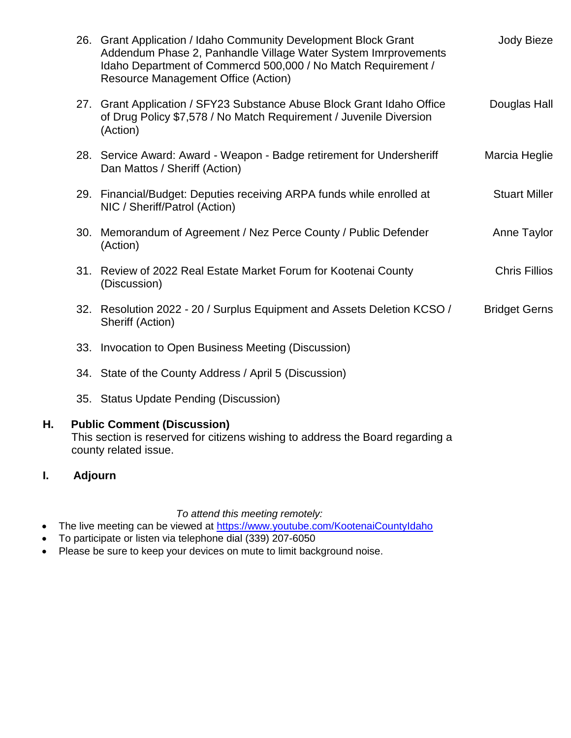|     | 26. Grant Application / Idaho Community Development Block Grant<br>Addendum Phase 2, Panhandle Village Water System Imrprovements<br>Idaho Department of Commercd 500,000 / No Match Requirement /<br><b>Resource Management Office (Action)</b> | Jody Bieze           |
|-----|--------------------------------------------------------------------------------------------------------------------------------------------------------------------------------------------------------------------------------------------------|----------------------|
|     | 27. Grant Application / SFY23 Substance Abuse Block Grant Idaho Office<br>of Drug Policy \$7,578 / No Match Requirement / Juvenile Diversion<br>(Action)                                                                                         | Douglas Hall         |
|     | 28. Service Award: Award - Weapon - Badge retirement for Undersheriff<br>Dan Mattos / Sheriff (Action)                                                                                                                                           | Marcia Heglie        |
|     | 29. Financial/Budget: Deputies receiving ARPA funds while enrolled at<br>NIC / Sheriff/Patrol (Action)                                                                                                                                           | <b>Stuart Miller</b> |
| 30. | Memorandum of Agreement / Nez Perce County / Public Defender<br>(Action)                                                                                                                                                                         | Anne Taylor          |
|     | 31. Review of 2022 Real Estate Market Forum for Kootenai County<br>(Discussion)                                                                                                                                                                  | <b>Chris Fillios</b> |
|     | 32. Resolution 2022 - 20 / Surplus Equipment and Assets Deletion KCSO /<br>Sheriff (Action)                                                                                                                                                      | <b>Bridget Gerns</b> |
| 33. | Invocation to Open Business Meeting (Discussion)                                                                                                                                                                                                 |                      |
|     | 34. State of the County Address / April 5 (Discussion)                                                                                                                                                                                           |                      |
|     | 35. Status Update Pending (Discussion)                                                                                                                                                                                                           |                      |

#### **H. Public Comment (Discussion)**

This section is reserved for citizens wishing to address the Board regarding a county related issue.

#### **I. Adjourn**

*To attend this meeting remotely:* 

- The live meeting can be viewed at <https://www.youtube.com/KootenaiCountyIdaho>
- To participate or listen via telephone dial (339) 207-6050
- Please be sure to keep your devices on mute to limit background noise.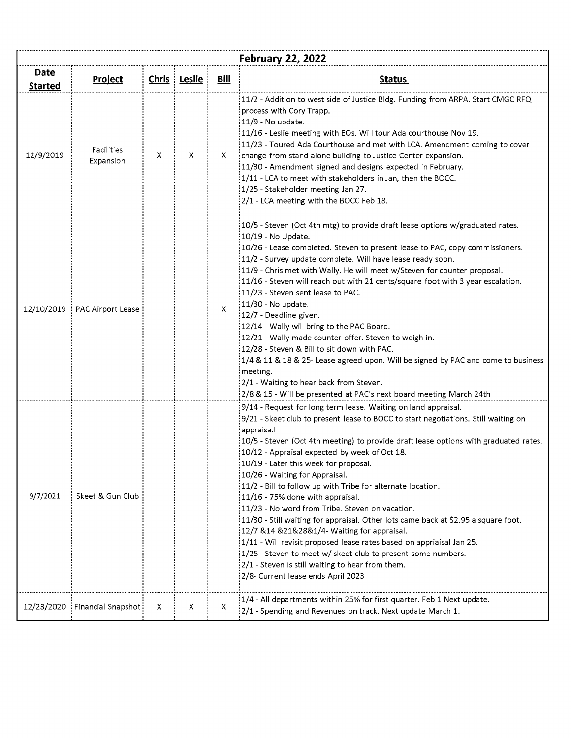| <b>February 22, 2022</b>      |                                |   |                |             |                                                                                                                                                                                                                                                                                                                                                                                                                                                                                                                                                                                                                                                                                                                                                                                                                                                                                                                        |  |  |
|-------------------------------|--------------------------------|---|----------------|-------------|------------------------------------------------------------------------------------------------------------------------------------------------------------------------------------------------------------------------------------------------------------------------------------------------------------------------------------------------------------------------------------------------------------------------------------------------------------------------------------------------------------------------------------------------------------------------------------------------------------------------------------------------------------------------------------------------------------------------------------------------------------------------------------------------------------------------------------------------------------------------------------------------------------------------|--|--|
| <u>Date</u><br><b>Started</b> | <b>Project</b>                 |   | Chris   Leslie | <u>Bill</u> | <b>Status</b>                                                                                                                                                                                                                                                                                                                                                                                                                                                                                                                                                                                                                                                                                                                                                                                                                                                                                                          |  |  |
| 12/9/2019                     | <b>Facilities</b><br>Expansion | X | X              | X.          | 11/2 - Addition to west side of Justice Bldg. Funding from ARPA. Start CMGC RFQ<br>process with Cory Trapp.<br>11/9 - No update.<br>11/16 - Leslie meeting with EOs. Will tour Ada courthouse Nov 19.<br>11/23 - Toured Ada Courthouse and met with LCA. Amendment coming to cover<br>change from stand alone building to Justice Center expansion.<br>11/30 - Amendment signed and designs expected in February.<br>1/11 - LCA to meet with stakeholders in Jan, then the BOCC.<br>1/25 - Stakeholder meeting Jan 27.<br>2/1 - LCA meeting with the BOCC Feb 18.                                                                                                                                                                                                                                                                                                                                                      |  |  |
| 12/10/2019                    | PAC Airport Lease              |   |                | X.          | 10/5 - Steven (Oct 4th mtg) to provide draft lease options w/graduated rates.<br>10/19 - No Update.<br>10/26 - Lease completed. Steven to present lease to PAC, copy commissioners.<br>11/2 - Survey update complete. Will have lease ready soon.<br>11/9 - Chris met with Wally. He will meet w/Steven for counter proposal.<br>11/16 - Steven will reach out with 21 cents/square foot with 3 year escalation.<br>11/23 - Steven sent lease to PAC.<br>11/30 - No update.<br>12/7 - Deadline given.<br>12/14 - Wally will bring to the PAC Board.<br>12/21 - Wally made counter offer. Steven to weigh in.<br>12/28 - Steven & Bill to sit down with PAC.<br>1/4 & 11 & 18 & 25- Lease agreed upon. Will be signed by PAC and come to business<br>meeting.<br>2/1 - Waiting to hear back from Steven.<br>2/8 & 15 - Will be presented at PAC's next board meeting March 24th                                         |  |  |
| 9/7/2021                      | Skeet & Gun Club               |   |                |             | 9/14 - Request for long term lease. Waiting on land appraisal.<br>9/21 - Skeet club to present lease to BOCC to start negotiations. Still waiting on<br>appraisa.<br>10/5 - Steven (Oct 4th meeting) to provide draft lease options with graduated rates.<br>10/12 - Appraisal expected by week of Oct 18.<br>10/19 - Later this week for proposal.<br>10/26 - Waiting for Appraisal.<br>11/2 - Bill to follow up with Tribe for alternate location.<br>11/16 - 75% done with appraisal.<br>11/23 - No word from Tribe. Steven on vacation.<br>11/30 - Still waiting for appraisal. Other lots came back at \$2.95 a square foot.<br>12/7 & 14 & 21& 28& 1/4- Waiting for appraisal.<br>1/11 - Will revisit proposed lease rates based on appriaisal Jan 25.<br>1/25 - Steven to meet w/ skeet club to present some numbers.<br>2/1 - Steven is still waiting to hear from them.<br>2/8- Current lease ends April 2023 |  |  |
| 12/23/2020                    | Financial Snapshot             | X | X              | X           | 1/4 - All departments within 25% for first quarter. Feb 1 Next update.<br>2/1 - Spending and Revenues on track. Next update March 1.                                                                                                                                                                                                                                                                                                                                                                                                                                                                                                                                                                                                                                                                                                                                                                                   |  |  |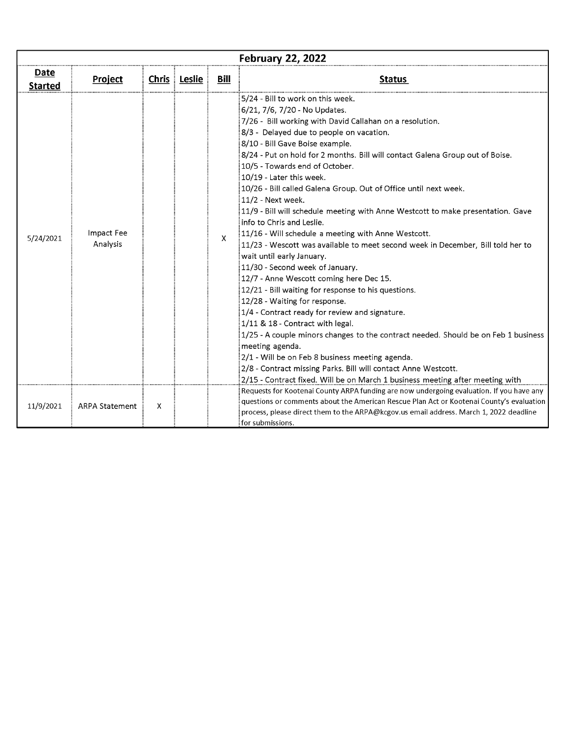| <b>February 22, 2022</b> |                        |   |              |              |                                                                                                                                                                                                                                                                                                                                                                                                                                                                                                                                                                                                                                                                                                                                                                                                                                                                                                                                                                                                                                                                                                                                                                                                                                                                                                                              |  |  |
|--------------------------|------------------------|---|--------------|--------------|------------------------------------------------------------------------------------------------------------------------------------------------------------------------------------------------------------------------------------------------------------------------------------------------------------------------------------------------------------------------------------------------------------------------------------------------------------------------------------------------------------------------------------------------------------------------------------------------------------------------------------------------------------------------------------------------------------------------------------------------------------------------------------------------------------------------------------------------------------------------------------------------------------------------------------------------------------------------------------------------------------------------------------------------------------------------------------------------------------------------------------------------------------------------------------------------------------------------------------------------------------------------------------------------------------------------------|--|--|
| Date<br><b>Started</b>   | <b>Project</b>         |   | Chris Leslie | Bill         | <b>Status</b>                                                                                                                                                                                                                                                                                                                                                                                                                                                                                                                                                                                                                                                                                                                                                                                                                                                                                                                                                                                                                                                                                                                                                                                                                                                                                                                |  |  |
| 5/24/2021                | Impact Fee<br>Analysis |   |              | $\mathsf{X}$ | 5/24 - Bill to work on this week.<br>6/21, 7/6, 7/20 - No Updates.<br>7/26 - Bill working with David Callahan on a resolution.<br>8/3 - Delayed due to people on vacation.<br>8/10 - Bill Gave Boise example.<br>8/24 - Put on hold for 2 months. Bill will contact Galena Group out of Boise.<br>10/5 - Towards end of October.<br>10/19 - Later this week.<br>10/26 - Bill called Galena Group. Out of Office until next week.<br>$11/2$ - Next week.<br>11/9 - Bill will schedule meeting with Anne Westcott to make presentation. Gave<br>info to Chris and Leslie.<br>:11/16 - Will schedule a meeting with Anne Westcott.<br>11/23 - Wescott was available to meet second week in December, Bill told her to<br>wait until early January.<br>11/30 - Second week of January.<br>12/7 - Anne Wescott coming here Dec 15.<br>12/21 - Bill waiting for response to his questions.<br>12/28 - Waiting for response.<br>1/4 - Contract ready for review and signature.<br>1/11 & 18 - Contract with legal.<br>$1/25$ - A couple minors changes to the contract needed. Should be on Feb 1 business<br>meeting agenda.<br>2/1 - Will be on Feb 8 business meeting agenda.<br>2/8 - Contract missing Parks. Bill will contact Anne Westcott.<br>2/15 - Contract fixed. Will be on March 1 business meeting after meeting with |  |  |
| 11/9/2021                | <b>ARPA Statement</b>  | X |              |              | Requests for Kootenai County ARPA funding are now undergoing evaluation. If you have any<br>questions or comments about the American Rescue Plan Act or Kootenai County's evaluation<br>process, please direct them to the ARPA@kcgov.us email address. March 1, 2022 deadline<br>for submissions.                                                                                                                                                                                                                                                                                                                                                                                                                                                                                                                                                                                                                                                                                                                                                                                                                                                                                                                                                                                                                           |  |  |